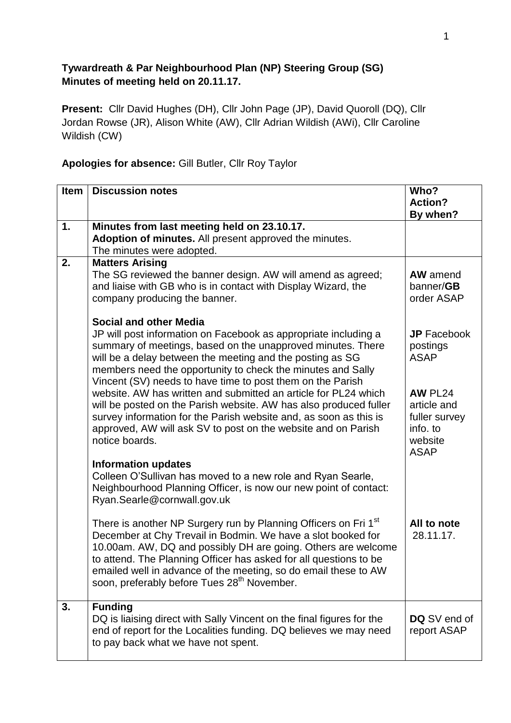## **Tywardreath & Par Neighbourhood Plan (NP) Steering Group (SG) Minutes of meeting held on 20.11.17.**

**Present:** Cllr David Hughes (DH), Cllr John Page (JP), David Quoroll (DQ), Cllr Jordan Rowse (JR), Alison White (AW), Cllr Adrian Wildish (AWi), Cllr Caroline Wildish (CW)

| Apologies for absence: Gill Butler, Cllr Roy Taylor |  |  |  |
|-----------------------------------------------------|--|--|--|
|-----------------------------------------------------|--|--|--|

| <b>Item</b> | <b>Discussion notes</b>                                                                                                                                                                                                                                                                                                                                                                                         | Who?<br><b>Action?</b><br>By when?                                            |
|-------------|-----------------------------------------------------------------------------------------------------------------------------------------------------------------------------------------------------------------------------------------------------------------------------------------------------------------------------------------------------------------------------------------------------------------|-------------------------------------------------------------------------------|
| 1.          | Minutes from last meeting held on 23.10.17.<br>Adoption of minutes. All present approved the minutes.<br>The minutes were adopted.                                                                                                                                                                                                                                                                              |                                                                               |
| 2.          | <b>Matters Arising</b><br>The SG reviewed the banner design. AW will amend as agreed;<br>and liaise with GB who is in contact with Display Wizard, the<br>company producing the banner.                                                                                                                                                                                                                         | <b>AW</b> amend<br>banner/GB<br>order ASAP                                    |
|             | <b>Social and other Media</b><br>JP will post information on Facebook as appropriate including a<br>summary of meetings, based on the unapproved minutes. There<br>will be a delay between the meeting and the posting as SG<br>members need the opportunity to check the minutes and Sally<br>Vincent (SV) needs to have time to post them on the Parish                                                       | <b>JP</b> Facebook<br>postings<br><b>ASAP</b>                                 |
|             | website. AW has written and submitted an article for PL24 which<br>will be posted on the Parish website. AW has also produced fuller<br>survey information for the Parish website and, as soon as this is<br>approved, AW will ask SV to post on the website and on Parish<br>notice boards.                                                                                                                    | AW PL24<br>article and<br>fuller survey<br>info. to<br>website<br><b>ASAP</b> |
|             | <b>Information updates</b><br>Colleen O'Sullivan has moved to a new role and Ryan Searle,<br>Neighbourhood Planning Officer, is now our new point of contact:<br>Ryan.Searle@cornwall.gov.uk                                                                                                                                                                                                                    |                                                                               |
|             | There is another NP Surgery run by Planning Officers on Fri 1 <sup>st</sup><br>December at Chy Trevail in Bodmin. We have a slot booked for<br>10.00am. AW, DQ and possibly DH are going. Others are welcome<br>to attend. The Planning Officer has asked for all questions to be<br>emailed well in advance of the meeting, so do email these to AW<br>soon, preferably before Tues 28 <sup>th</sup> November. | All to note<br>28.11.17.                                                      |
| 3.          | <b>Funding</b><br>DQ is liaising direct with Sally Vincent on the final figures for the<br>end of report for the Localities funding. DQ believes we may need<br>to pay back what we have not spent.                                                                                                                                                                                                             | DQ SV end of<br>report ASAP                                                   |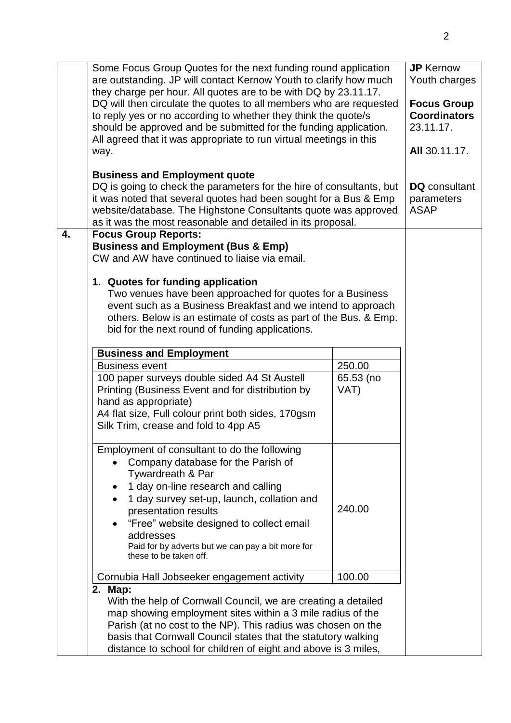|                                                                                                                                                                                                                                                                                                                                           | Some Focus Group Quotes for the next funding round application<br>are outstanding. JP will contact Kernow Youth to clarify how much<br>they charge per hour. All quotes are to be with DQ by 23.11.17.<br>DQ will then circulate the quotes to all members who are requested<br>to reply yes or no according to whether they think the quote/s<br>should be approved and be submitted for the funding application.<br>All agreed that it was appropriate to run virtual meetings in this<br>way. |                   | <b>JP</b> Kernow<br>Youth charges<br><b>Focus Group</b><br><b>Coordinators</b><br>23.11.17.<br>All 30.11.17. |
|-------------------------------------------------------------------------------------------------------------------------------------------------------------------------------------------------------------------------------------------------------------------------------------------------------------------------------------------|--------------------------------------------------------------------------------------------------------------------------------------------------------------------------------------------------------------------------------------------------------------------------------------------------------------------------------------------------------------------------------------------------------------------------------------------------------------------------------------------------|-------------------|--------------------------------------------------------------------------------------------------------------|
|                                                                                                                                                                                                                                                                                                                                           | <b>Business and Employment quote</b><br>DQ is going to check the parameters for the hire of consultants, but<br>it was noted that several quotes had been sought for a Bus & Emp<br>website/database. The Highstone Consultants quote was approved<br>as it was the most reasonable and detailed in its proposal.                                                                                                                                                                                |                   | <b>DQ</b> consultant<br>parameters<br><b>ASAP</b>                                                            |
| 4.                                                                                                                                                                                                                                                                                                                                        | <b>Focus Group Reports:</b><br><b>Business and Employment (Bus &amp; Emp)</b><br>CW and AW have continued to liaise via email.<br>1. Quotes for funding application<br>Two venues have been approached for quotes for a Business<br>event such as a Business Breakfast and we intend to approach<br>others. Below is an estimate of costs as part of the Bus. & Emp.<br>bid for the next round of funding applications.                                                                          |                   |                                                                                                              |
|                                                                                                                                                                                                                                                                                                                                           | <b>Business and Employment</b>                                                                                                                                                                                                                                                                                                                                                                                                                                                                   |                   |                                                                                                              |
|                                                                                                                                                                                                                                                                                                                                           | <b>Business event</b>                                                                                                                                                                                                                                                                                                                                                                                                                                                                            | 250.00            |                                                                                                              |
|                                                                                                                                                                                                                                                                                                                                           | 100 paper surveys double sided A4 St Austell<br>Printing (Business Event and for distribution by<br>hand as appropriate)<br>A4 flat size, Full colour print both sides, 170gsm<br>Silk Trim, crease and fold to 4pp A5                                                                                                                                                                                                                                                                           | 65.53 (no<br>VAT) |                                                                                                              |
|                                                                                                                                                                                                                                                                                                                                           | Employment of consultant to do the following<br>Company database for the Parish of<br>Tywardreath & Par<br>1 day on-line research and calling<br>٠<br>1 day survey set-up, launch, collation and<br>presentation results<br>"Free" website designed to collect email<br>$\bullet$<br>addresses<br>Paid for by adverts but we can pay a bit more for<br>these to be taken off.                                                                                                                    | 240.00            |                                                                                                              |
|                                                                                                                                                                                                                                                                                                                                           | Cornubia Hall Jobseeker engagement activity                                                                                                                                                                                                                                                                                                                                                                                                                                                      | 100.00            |                                                                                                              |
| 2. Map:<br>With the help of Cornwall Council, we are creating a detailed<br>map showing employment sites within a 3 mile radius of the<br>Parish (at no cost to the NP). This radius was chosen on the<br>basis that Cornwall Council states that the statutory walking<br>distance to school for children of eight and above is 3 miles, |                                                                                                                                                                                                                                                                                                                                                                                                                                                                                                  |                   |                                                                                                              |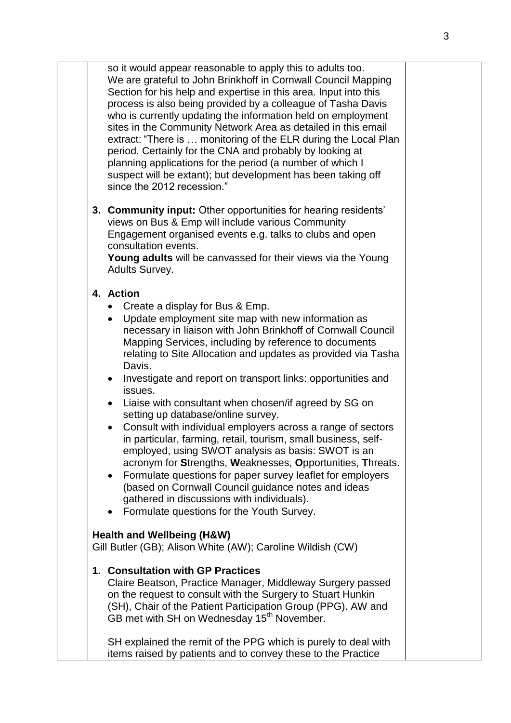3

so it would appear reasonable to apply this to adults too. We are grateful to John Brinkhoff in Cornwall Council Mapping Section for his help and expertise in this area. Input into this process is also being provided by a colleague of Tasha Davis who is currently updating the information held on employment sites in the Community Network Area as detailed in this email extract: "There is … monitoring of the ELR during the Local Plan period. Certainly for the CNA and probably by looking at planning applications for the period (a number of which I suspect will be extant); but development has been taking off since the 2012 recession."

**3. Community input:** Other opportunities for hearing residents' views on Bus & Emp will include various Community Engagement organised events e.g. talks to clubs and open consultation events.

**Young adults** will be canvassed for their views via the Young Adults Survey.

## **4. Action**

- Create a display for Bus & Emp.
- Update employment site map with new information as necessary in liaison with John Brinkhoff of Cornwall Council Mapping Services, including by reference to documents relating to Site Allocation and updates as provided via Tasha Davis.
- Investigate and report on transport links: opportunities and issues.
- Liaise with consultant when chosen/if agreed by SG on setting up database/online survey.
- Consult with individual employers across a range of sectors in particular, farming, retail, tourism, small business, selfemployed, using SWOT analysis as basis: SWOT is an acronym for **S**trengths, **W**eaknesses, **O**pportunities, **T**hreats.
- Formulate questions for paper survey leaflet for employers (based on Cornwall Council guidance notes and ideas gathered in discussions with individuals).
- Formulate questions for the Youth Survey.

## **Health and Wellbeing (H&W)**

Gill Butler (GB); Alison White (AW); Caroline Wildish (CW)

**1. Consultation with GP Practices**

Claire Beatson, Practice Manager, Middleway Surgery passed on the request to consult with the Surgery to Stuart Hunkin (SH), Chair of the Patient Participation Group (PPG). AW and GB met with SH on Wednesday 15<sup>th</sup> November.

SH explained the remit of the PPG which is purely to deal with items raised by patients and to convey these to the Practice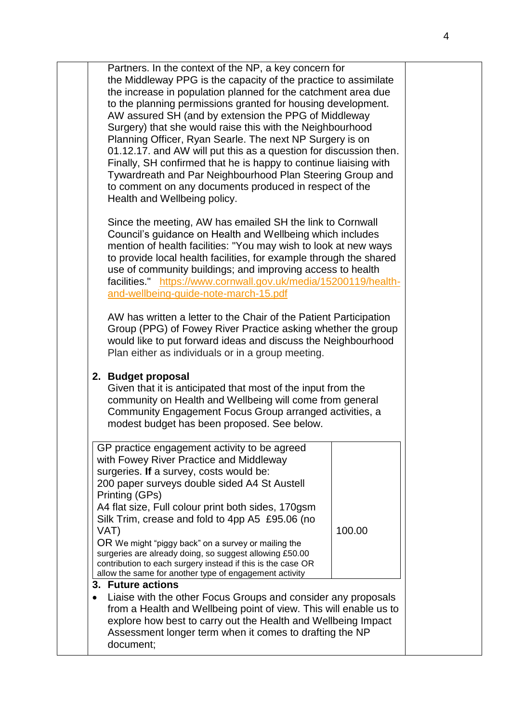Partners. In the context of the NP, a key concern for the Middleway PPG is the capacity of the practice to assimilate the increase in population planned for the catchment area due to the planning permissions granted for housing development. AW assured SH (and by extension the PPG of Middleway Surgery) that she would raise this with the Neighbourhood Planning Officer, Ryan Searle. The next NP Surgery is on 01.12.17. and AW will put this as a question for discussion then. Finally, SH confirmed that he is happy to continue liaising with Tywardreath and Par Neighbourhood Plan Steering Group and to comment on any documents produced in respect of the Health and Wellbeing policy.

Since the meeting, AW has emailed SH the link to Cornwall Council's guidance on Health and Wellbeing which includes mention of health facilities: "You may wish to look at new ways to provide local health facilities, for example through the shared use of community buildings; and improving access to health facilities." [https://www.cornwall.gov.uk/media/15200119/health](https://www.cornwall.gov.uk/media/15200119/health-and-wellbeing-guide-note-march-15.pdf)[and-wellbeing-guide-note-march-15.pdf](https://www.cornwall.gov.uk/media/15200119/health-and-wellbeing-guide-note-march-15.pdf)

AW has written a letter to the Chair of the Patient Participation Group (PPG) of Fowey River Practice asking whether the group would like to put forward ideas and discuss the Neighbourhood Plan either as individuals or in a group meeting.

## **2. Budget proposal**

Given that it is anticipated that most of the input from the community on Health and Wellbeing will come from general Community Engagement Focus Group arranged activities, a modest budget has been proposed. See below.

| GP practice engagement activity to be agreed<br>with Fowey River Practice and Middleway<br>surgeries. If a survey, costs would be:<br>200 paper surveys double sided A4 St Austell<br>Printing (GPs)<br>A4 flat size, Full colour print both sides, 170gsm |        |  |
|------------------------------------------------------------------------------------------------------------------------------------------------------------------------------------------------------------------------------------------------------------|--------|--|
| Silk Trim, crease and fold to 4pp A5 £95.06 (no                                                                                                                                                                                                            |        |  |
| VAT)                                                                                                                                                                                                                                                       | 100.00 |  |
|                                                                                                                                                                                                                                                            |        |  |
| OR We might "piggy back" on a survey or mailing the                                                                                                                                                                                                        |        |  |
| surgeries are already doing, so suggest allowing £50.00                                                                                                                                                                                                    |        |  |
| contribution to each surgery instead if this is the case OR                                                                                                                                                                                                |        |  |
| allow the same for another type of engagement activity                                                                                                                                                                                                     |        |  |
| 3. Future actions                                                                                                                                                                                                                                          |        |  |
| Liaise with the other Focus Groups and consider any proposals                                                                                                                                                                                              |        |  |
| from a Health and Wellbeing point of view. This will enable us to                                                                                                                                                                                          |        |  |
| explore how best to carry out the Health and Wellbeing Impact                                                                                                                                                                                              |        |  |
| Assessment longer term when it comes to drafting the NP                                                                                                                                                                                                    |        |  |
| document:                                                                                                                                                                                                                                                  |        |  |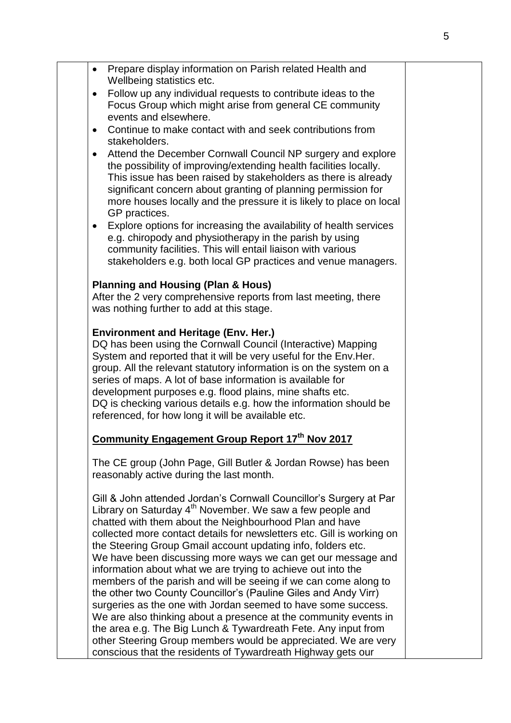| Prepare display information on Parish related Health and<br>Wellbeing statistics etc.<br>Follow up any individual requests to contribute ideas to the<br>Focus Group which might arise from general CE community<br>events and elsewhere.<br>Continue to make contact with and seek contributions from<br>$\bullet$<br>stakeholders.<br>Attend the December Cornwall Council NP surgery and explore<br>$\bullet$<br>the possibility of improving/extending health facilities locally.<br>This issue has been raised by stakeholders as there is already<br>significant concern about granting of planning permission for<br>more houses locally and the pressure it is likely to place on local<br>GP practices.<br>Explore options for increasing the availability of health services<br>$\bullet$                                                                                                                                                              |  |
|------------------------------------------------------------------------------------------------------------------------------------------------------------------------------------------------------------------------------------------------------------------------------------------------------------------------------------------------------------------------------------------------------------------------------------------------------------------------------------------------------------------------------------------------------------------------------------------------------------------------------------------------------------------------------------------------------------------------------------------------------------------------------------------------------------------------------------------------------------------------------------------------------------------------------------------------------------------|--|
| e.g. chiropody and physiotherapy in the parish by using<br>community facilities. This will entail liaison with various<br>stakeholders e.g. both local GP practices and venue managers.                                                                                                                                                                                                                                                                                                                                                                                                                                                                                                                                                                                                                                                                                                                                                                          |  |
| <b>Planning and Housing (Plan &amp; Hous)</b><br>After the 2 very comprehensive reports from last meeting, there<br>was nothing further to add at this stage.                                                                                                                                                                                                                                                                                                                                                                                                                                                                                                                                                                                                                                                                                                                                                                                                    |  |
| <b>Environment and Heritage (Env. Her.)</b><br>DQ has been using the Cornwall Council (Interactive) Mapping<br>System and reported that it will be very useful for the Env. Her.<br>group. All the relevant statutory information is on the system on a<br>series of maps. A lot of base information is available for<br>development purposes e.g. flood plains, mine shafts etc.<br>DQ is checking various details e.g. how the information should be<br>referenced, for how long it will be available etc.                                                                                                                                                                                                                                                                                                                                                                                                                                                     |  |
| <u>Community Engagement Group Report 17th Nov 2017</u>                                                                                                                                                                                                                                                                                                                                                                                                                                                                                                                                                                                                                                                                                                                                                                                                                                                                                                           |  |
| The CE group (John Page, Gill Butler & Jordan Rowse) has been<br>reasonably active during the last month.                                                                                                                                                                                                                                                                                                                                                                                                                                                                                                                                                                                                                                                                                                                                                                                                                                                        |  |
| Gill & John attended Jordan's Cornwall Councillor's Surgery at Par<br>Library on Saturday 4 <sup>th</sup> November. We saw a few people and<br>chatted with them about the Neighbourhood Plan and have<br>collected more contact details for newsletters etc. Gill is working on<br>the Steering Group Gmail account updating info, folders etc.<br>We have been discussing more ways we can get our message and<br>information about what we are trying to achieve out into the<br>members of the parish and will be seeing if we can come along to<br>the other two County Councillor's (Pauline Giles and Andy Virr)<br>surgeries as the one with Jordan seemed to have some success.<br>We are also thinking about a presence at the community events in<br>the area e.g. The Big Lunch & Tywardreath Fete. Any input from<br>other Steering Group members would be appreciated. We are very<br>conscious that the residents of Tywardreath Highway gets our |  |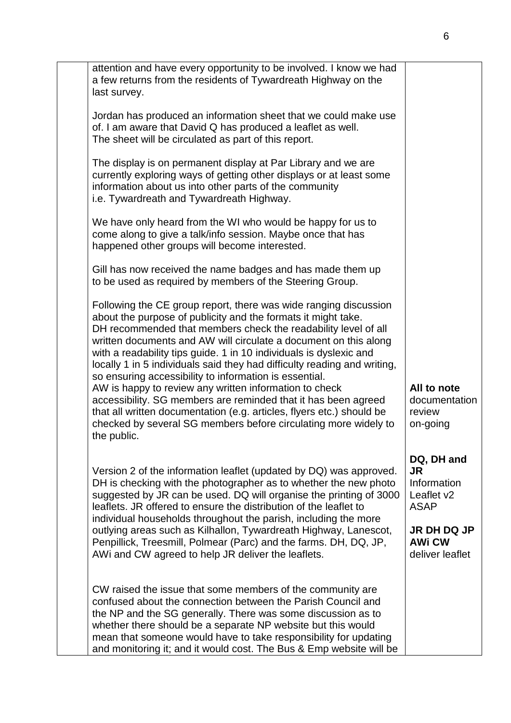| attention and have every opportunity to be involved. I know we had<br>a few returns from the residents of Tywardreath Highway on the<br>last survey.                                                                                                                                                                                                                                                                                                                                                                                                                                                                                                                                                                                                        |                                                              |
|-------------------------------------------------------------------------------------------------------------------------------------------------------------------------------------------------------------------------------------------------------------------------------------------------------------------------------------------------------------------------------------------------------------------------------------------------------------------------------------------------------------------------------------------------------------------------------------------------------------------------------------------------------------------------------------------------------------------------------------------------------------|--------------------------------------------------------------|
| Jordan has produced an information sheet that we could make use<br>of. I am aware that David Q has produced a leaflet as well.<br>The sheet will be circulated as part of this report.                                                                                                                                                                                                                                                                                                                                                                                                                                                                                                                                                                      |                                                              |
| The display is on permanent display at Par Library and we are<br>currently exploring ways of getting other displays or at least some<br>information about us into other parts of the community<br>i.e. Tywardreath and Tywardreath Highway.                                                                                                                                                                                                                                                                                                                                                                                                                                                                                                                 |                                                              |
| We have only heard from the WI who would be happy for us to<br>come along to give a talk/info session. Maybe once that has<br>happened other groups will become interested.                                                                                                                                                                                                                                                                                                                                                                                                                                                                                                                                                                                 |                                                              |
| Gill has now received the name badges and has made them up<br>to be used as required by members of the Steering Group.                                                                                                                                                                                                                                                                                                                                                                                                                                                                                                                                                                                                                                      |                                                              |
| Following the CE group report, there was wide ranging discussion<br>about the purpose of publicity and the formats it might take.<br>DH recommended that members check the readability level of all<br>written documents and AW will circulate a document on this along<br>with a readability tips guide. 1 in 10 individuals is dyslexic and<br>locally 1 in 5 individuals said they had difficulty reading and writing,<br>so ensuring accessibility to information is essential.<br>AW is happy to review any written information to check<br>accessibility. SG members are reminded that it has been agreed<br>that all written documentation (e.g. articles, flyers etc.) should be<br>checked by several SG members before circulating more widely to | All to note<br>documentation<br>review<br>on-going           |
| the public.                                                                                                                                                                                                                                                                                                                                                                                                                                                                                                                                                                                                                                                                                                                                                 |                                                              |
| Version 2 of the information leaflet (updated by DQ) was approved.<br>DH is checking with the photographer as to whether the new photo<br>suggested by JR can be used. DQ will organise the printing of 3000<br>leaflets. JR offered to ensure the distribution of the leaflet to<br>individual households throughout the parish, including the more                                                                                                                                                                                                                                                                                                                                                                                                        | DQ, DH and<br>JR<br>Information<br>Leaflet v2<br><b>ASAP</b> |
| outlying areas such as Kilhallon, Tywardreath Highway, Lanescot,<br>Penpillick, Treesmill, Polmear (Parc) and the farms. DH, DQ, JP,<br>AWi and CW agreed to help JR deliver the leaflets.                                                                                                                                                                                                                                                                                                                                                                                                                                                                                                                                                                  | JR DH DQ JP<br><b>AWi CW</b><br>deliver leaflet              |
| CW raised the issue that some members of the community are<br>confused about the connection between the Parish Council and<br>the NP and the SG generally. There was some discussion as to<br>whether there should be a separate NP website but this would<br>mean that someone would have to take responsibility for updating<br>and monitoring it; and it would cost. The Bus & Emp website will be                                                                                                                                                                                                                                                                                                                                                       |                                                              |